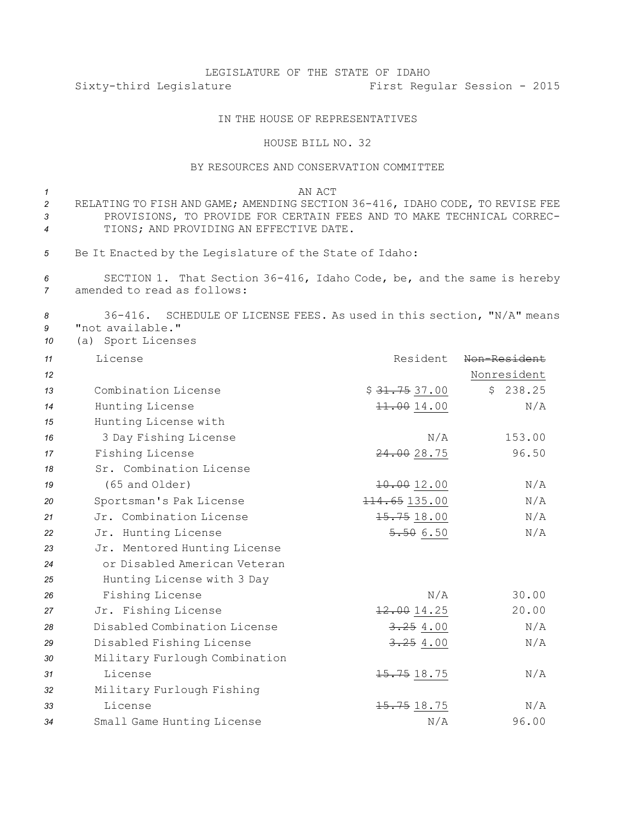## LEGISLATURE OF THE STATE OF IDAHO Sixty-third Legislature First Regular Session - 2015

## IN THE HOUSE OF REPRESENTATIVES

## HOUSE BILL NO. 32

## BY RESOURCES AND CONSERVATION COMMITTEE

*1* AN ACT RELATING TO FISH AND GAME; AMENDING SECTION 36-416, IDAHO CODE, TO REVISE FEE PROVISIONS, TO PROVIDE FOR CERTAIN FEES AND TO MAKE TECHNICAL CORREC-TIONS; AND PROVIDING AN EFFECTIVE DATE.

*<sup>5</sup>* Be It Enacted by the Legislature of the State of Idaho:

*<sup>6</sup>* SECTION 1. That Section 36-416, Idaho Code, be, and the same is hereby *7* amended to read as follows:

*<sup>8</sup>* 36-416. SCHEDULE OF LICENSE FEES. As used in this section, "N/A" means *9* "not available."

*<sup>10</sup>* (a) Sport Licenses

| 11 | License                       | Resident                  | Non-Resident |
|----|-------------------------------|---------------------------|--------------|
| 12 |                               |                           | Nonresident  |
| 13 | Combination License           | \$ <del>31.75</del> 37.00 | \$238.25     |
| 14 | Hunting License               | 11.0014.00                | N/A          |
| 15 | Hunting License with          |                           |              |
| 16 | 3 Day Fishing License         | N/A                       | 153.00       |
| 17 | Fishing License               | 24.0028.75                | 96.50        |
| 18 | Sr. Combination License       |                           |              |
| 19 | (65 and Older)                | 10.0012.00                | N/A          |
| 20 | Sportsman's Pak License       | 114.65135.00              | N/A          |
| 21 | Jr. Combination License       | 15.7518.00                | N/A          |
| 22 | Jr. Hunting License           | 5.506.50                  | N/A          |
| 23 | Jr. Mentored Hunting License  |                           |              |
| 24 | or Disabled American Veteran  |                           |              |
| 25 | Hunting License with 3 Day    |                           |              |
| 26 | Fishing License               | N/A                       | 30.00        |
| 27 | Jr. Fishing License           | 12.0014.25                | 20.00        |
| 28 | Disabled Combination License  | 3.254.00                  | N/A          |
| 29 | Disabled Fishing License      | 3.254.00                  | N/A          |
| 30 | Military Furlough Combination |                           |              |
| 31 | License                       | 15.75 18.75               | N/A          |
| 32 | Military Furlough Fishing     |                           |              |
| 33 | License                       | $15.75$ $18.75$           | N/A          |
| 34 | Small Game Hunting License    | N/A                       | 96.00        |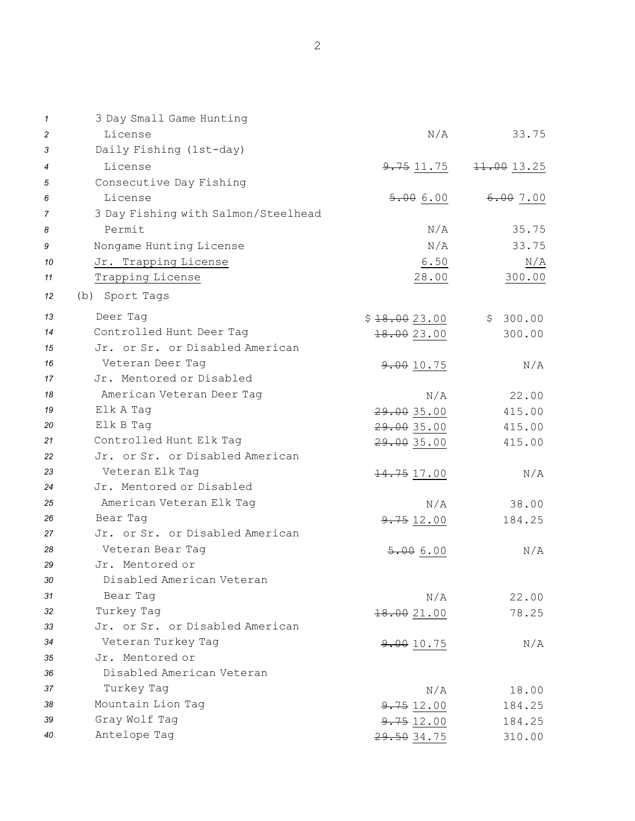| 1  | 3 Day Small Game Hunting            |              |            |
|----|-------------------------------------|--------------|------------|
| 2  | License                             | N/A          | 33.75      |
| 3  | Daily Fishing (1st-day)             |              |            |
| 4  | License                             | 9.751.75     | 11.0013.25 |
| 5  | Consecutive Day Fishing             |              |            |
| 6  | License                             | 5.006.00     | 6.007.00   |
| 7  | 3 Day Fishing with Salmon/Steelhead |              |            |
| 8  | Permit                              | N/A          | 35.75      |
| 9  | Nongame Hunting License             | N/A          | 33.75      |
| 10 | Jr. Trapping License                | 6.50         | N/A        |
| 11 | Trapping License                    | 28.00        | 300.00     |
| 12 | (b) Sport Tags                      |              |            |
| 13 | Deer Tag                            | \$18.0023.00 | \$300.00   |
| 14 | Controlled Hunt Deer Tag            | 18.00 23.00  | 300.00     |
| 15 | Jr. or Sr. or Disabled American     |              |            |
| 16 | Veteran Deer Taq                    | 9.00 10.75   | N/A        |
| 17 | Jr. Mentored or Disabled            |              |            |
| 18 | American Veteran Deer Tag           | N/A          | 22.00      |
| 19 | Elk A Tag                           | 29.00 35.00  | 415.00     |
| 20 | Elk B Tag                           | 29.00 35.00  | 415.00     |
| 21 | Controlled Hunt Elk Tag             | 29.00 35.00  | 415.00     |
| 22 | Jr. or Sr. or Disabled American     |              |            |
| 23 | Veteran Elk Tag                     | 14.75 17.00  | N/A        |
| 24 | Jr. Mentored or Disabled            |              |            |
| 25 | American Veteran Elk Tag            | N/A          | 38.00      |
| 26 | Bear Tag                            | 9.75 12.00   | 184.25     |
| 27 | Jr. or Sr. or Disabled American     |              |            |
| 28 | Veteran Bear Tag                    | 5.006.00     | N/A        |
| 29 | Jr. Mentored or                     |              |            |
| 30 | Disabled American Veteran           |              |            |
| 31 | Bear Tag                            | N/A          | 22.00      |
| 32 | Turkey Taq                          | 18.00 21.00  | 78.25      |
| 33 | Jr. or Sr. or Disabled American     |              |            |
| 34 | Veteran Turkey Tag                  | 9.00 10.75   | N/A        |
| 35 | Jr. Mentored or                     |              |            |
| 36 | Disabled American Veteran           |              |            |
| 37 | Turkey Tag                          | N/A          | 18.00      |
| 38 | Mountain Lion Tag                   | 9.7512.00    | 184.25     |
| 39 | Gray Wolf Tag                       | 9.7512.00    | 184.25     |
| 40 | Antelope Tag                        | 29.50 34.75  | 310.00     |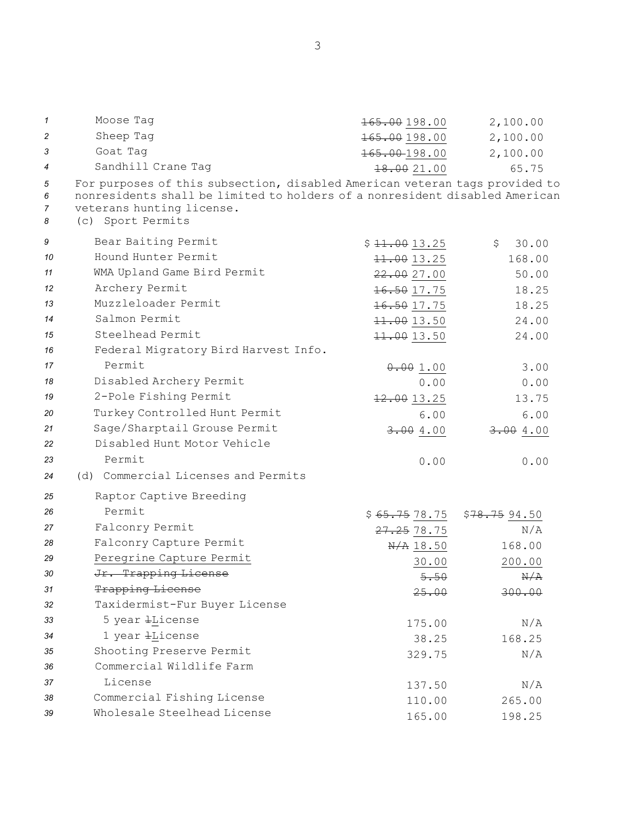| 1                | Moose Tag                                                                                                                                                                                                    | 165.00 198.00             | 2,100.00     |  |
|------------------|--------------------------------------------------------------------------------------------------------------------------------------------------------------------------------------------------------------|---------------------------|--------------|--|
| 2                | Sheep Taq                                                                                                                                                                                                    | 165.00198.00              | 2,100.00     |  |
| 3                | Goat Tag                                                                                                                                                                                                     | $165.00-198.00$           | 2,100.00     |  |
| $\overline{4}$   | Sandhill Crane Tag                                                                                                                                                                                           | 18.0021.00                | 65.75        |  |
| 5<br>6<br>7<br>8 | For purposes of this subsection, disabled American veteran tags provided to<br>nonresidents shall be limited to holders of a nonresident disabled American<br>veterans hunting license.<br>(c) Sport Permits |                           |              |  |
| 9                | Bear Baiting Permit                                                                                                                                                                                          | \$11.0013.25              | 30.00<br>\$  |  |
| 10               | Hound Hunter Permit                                                                                                                                                                                          | 11.0013.25                | 168.00       |  |
| 11               | WMA Upland Game Bird Permit                                                                                                                                                                                  | 22.0027.00                | 50.00        |  |
| 12               | Archery Permit                                                                                                                                                                                               | 16.5017.75                | 18.25        |  |
| 13               | Muzzleloader Permit                                                                                                                                                                                          | 16.5017.75                | 18.25        |  |
| 14               | Salmon Permit                                                                                                                                                                                                | 11.0013.50                | 24.00        |  |
| 15               | Steelhead Permit                                                                                                                                                                                             | 11.0013.50                | 24.00        |  |
| 16               | Federal Migratory Bird Harvest Info.                                                                                                                                                                         |                           |              |  |
| 17               | Permit                                                                                                                                                                                                       | 0.001.00                  | 3.00         |  |
| 18               | Disabled Archery Permit                                                                                                                                                                                      | 0.00                      | 0.00         |  |
| 19               | 2-Pole Fishing Permit                                                                                                                                                                                        | 12.0013.25                | 13.75        |  |
| 20               | Turkey Controlled Hunt Permit                                                                                                                                                                                | 6.00                      | 6.00         |  |
| 21               | Sage/Sharptail Grouse Permit                                                                                                                                                                                 | 3.004.00                  | 3.004.00     |  |
| 22               | Disabled Hunt Motor Vehicle                                                                                                                                                                                  |                           |              |  |
| 23               | Permit                                                                                                                                                                                                       | 0.00                      | 0.00         |  |
| 24               | (d) Commercial Licenses and Permits                                                                                                                                                                          |                           |              |  |
| 25               | Raptor Captive Breeding                                                                                                                                                                                      |                           |              |  |
| 26               | Permit                                                                                                                                                                                                       | \$ <del>65.75</del> 78.75 | \$78.7594.50 |  |
| 27               | Falconry Permit                                                                                                                                                                                              | <del>27.25</del> 78.75    | N/A          |  |
| 28               | Falconry Capture Permit                                                                                                                                                                                      | $\frac{N}{A}$ 18.50       | 168.00       |  |
| 29               | Peregrine Capture Permit                                                                                                                                                                                     | 30.00                     | 200.00       |  |
| 30               | Jr. Trapping License                                                                                                                                                                                         | 5.50                      | N/A          |  |
| 31               | Trapping License                                                                                                                                                                                             | 25.00                     | 300.00       |  |
| 32               | Taxidermist-Fur Buyer License                                                                                                                                                                                |                           |              |  |
| 33               | 5 year <i>+License</i>                                                                                                                                                                                       | 175.00                    | N/A          |  |
| 34               | 1 year <i>+License</i>                                                                                                                                                                                       | 38.25                     | 168.25       |  |
| 35               | Shooting Preserve Permit                                                                                                                                                                                     | 329.75                    | N/A          |  |
| 36               | Commercial Wildlife Farm                                                                                                                                                                                     |                           |              |  |
| 37               | License                                                                                                                                                                                                      | 137.50                    | N/A          |  |
| 38               | Commercial Fishing License                                                                                                                                                                                   | 110.00                    | 265.00       |  |
| 39               | Wholesale Steelhead License                                                                                                                                                                                  | 165.00                    | 198.25       |  |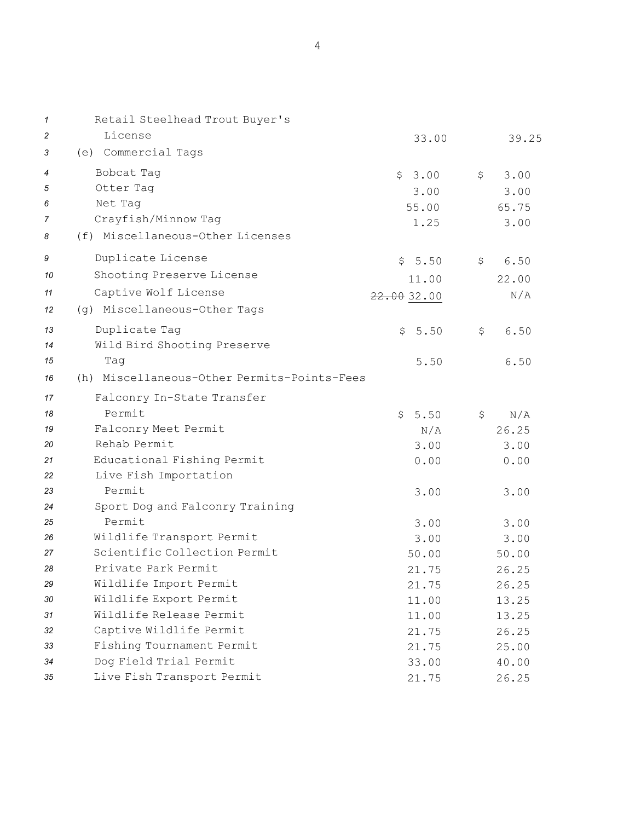| $\mathbf 1$ | Retail Steelhead Trout Buyer's              |             |            |
|-------------|---------------------------------------------|-------------|------------|
| 2           | License                                     | 33.00       | 39.25      |
| 3           | (e) Commercial Tags                         |             |            |
| 4           | Bobcat Tag                                  | \$3.00      | \$<br>3.00 |
| 5           | Otter Tag                                   | 3.00        | 3.00       |
| 6           | Net Tag                                     | 55.00       | 65.75      |
| 7           | Crayfish/Minnow Tag                         | 1.25        | 3.00       |
| 8           | (f) Miscellaneous-Other Licenses            |             |            |
| 9           | Duplicate License                           | \$5.50      | \$<br>6.50 |
| 10          | Shooting Preserve License                   | 11.00       | 22.00      |
| 11          | Captive Wolf License                        | 22.00 32.00 | N/A        |
| 12          | (g) Miscellaneous-Other Tags                |             |            |
| 13          | Duplicate Tag                               | \$<br>5.50  | \$<br>6.50 |
| 14          | Wild Bird Shooting Preserve                 |             |            |
| 15          | Taq                                         | 5.50        | 6.50       |
| 16          | (h) Miscellaneous-Other Permits-Points-Fees |             |            |
| 17          | Falconry In-State Transfer                  |             |            |
| 18          | Permit                                      | \$5.50      | \$<br>N/A  |
| 19          | Falconry Meet Permit                        | N/A         | 26.25      |
| 20          | Rehab Permit                                | 3.00        | 3.00       |
| 21          | Educational Fishing Permit                  | 0.00        | 0.00       |
| 22          | Live Fish Importation                       |             |            |
| 23          | Permit                                      | 3.00        | 3.00       |
| 24          | Sport Dog and Falconry Training             |             |            |
| 25          | Permit                                      | 3.00        | 3.00       |
| 26          | Wildlife Transport Permit                   | 3.00        | 3.00       |
| 27          | Scientific Collection Permit                | 50.00       | 50.00      |
| 28          | Private Park Permit                         | 21.75       | 26.25      |
| 29          | Wildlife Import Permit                      | 21.75       | 26.25      |
| 30          | Wildlife Export Permit                      | 11.00       | 13.25      |
| 31          | Wildlife Release Permit                     | 11.00       | 13.25      |
| 32          | Captive Wildlife Permit                     | 21.75       | 26.25      |
| 33          | Fishing Tournament Permit                   | 21.75       | 25.00      |
| 34          | Dog Field Trial Permit                      | 33.00       | 40.00      |
| 35          | Live Fish Transport Permit                  | 21.75       | 26.25      |

4